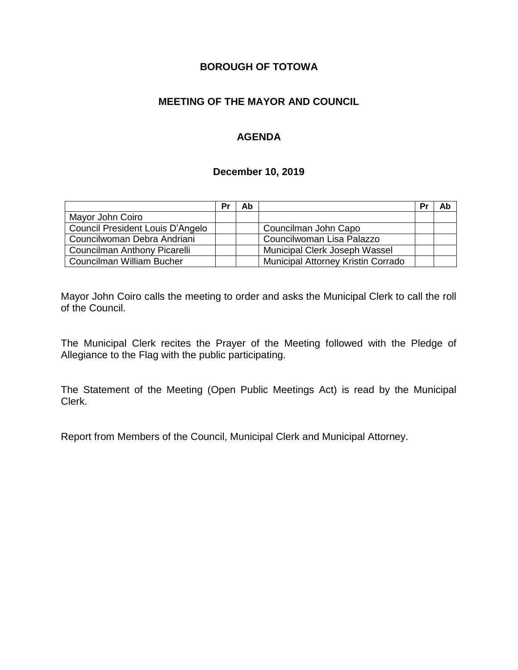# **BOROUGH OF TOTOWA**

# **MEETING OF THE MAYOR AND COUNCIL**

# **AGENDA**

#### **December 10, 2019**

|                                  | Pr | Ab |                                    | Pr | Ab |
|----------------------------------|----|----|------------------------------------|----|----|
| Mayor John Coiro                 |    |    |                                    |    |    |
| Council President Louis D'Angelo |    |    | Councilman John Capo               |    |    |
| Councilwoman Debra Andriani      |    |    | Councilwoman Lisa Palazzo          |    |    |
| Councilman Anthony Picarelli     |    |    | Municipal Clerk Joseph Wassel      |    |    |
| Councilman William Bucher        |    |    | Municipal Attorney Kristin Corrado |    |    |

Mayor John Coiro calls the meeting to order and asks the Municipal Clerk to call the roll of the Council.

The Municipal Clerk recites the Prayer of the Meeting followed with the Pledge of Allegiance to the Flag with the public participating.

The Statement of the Meeting (Open Public Meetings Act) is read by the Municipal Clerk.

Report from Members of the Council, Municipal Clerk and Municipal Attorney.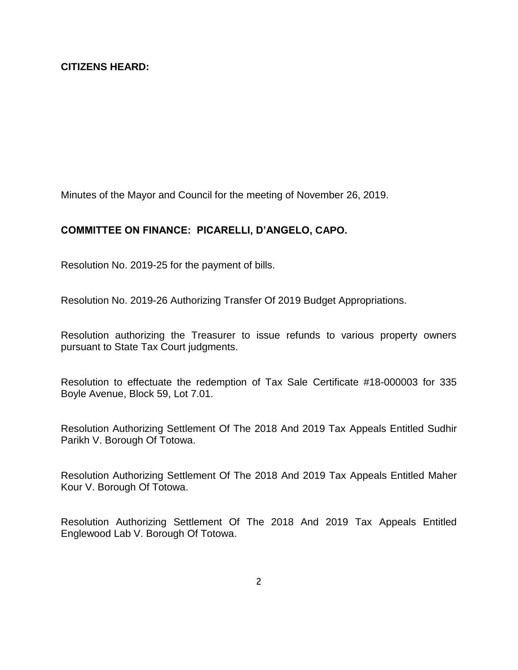Minutes of the Mayor and Council for the meeting of November 26, 2019.

### **COMMITTEE ON FINANCE: PICARELLI, D'ANGELO, CAPO.**

Resolution No. 2019-25 for the payment of bills.

Resolution No. 2019-26 Authorizing Transfer Of 2019 Budget Appropriations.

Resolution authorizing the Treasurer to issue refunds to various property owners pursuant to State Tax Court judgments.

Resolution to effectuate the redemption of Tax Sale Certificate #18-000003 for 335 Boyle Avenue, Block 59, Lot 7.01.

Resolution Authorizing Settlement Of The 2018 And 2019 Tax Appeals Entitled Sudhir Parikh V. Borough Of Totowa.

Resolution Authorizing Settlement Of The 2018 And 2019 Tax Appeals Entitled Maher Kour V. Borough Of Totowa.

Resolution Authorizing Settlement Of The 2018 And 2019 Tax Appeals Entitled Englewood Lab V. Borough Of Totowa.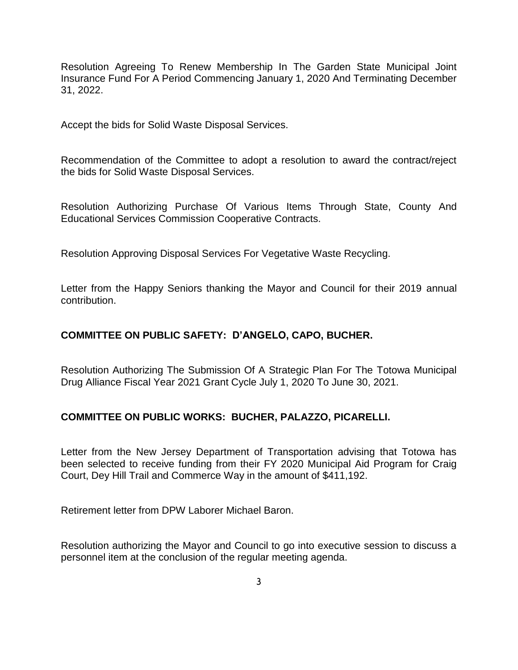Resolution Agreeing To Renew Membership In The Garden State Municipal Joint Insurance Fund For A Period Commencing January 1, 2020 And Terminating December 31, 2022.

Accept the bids for Solid Waste Disposal Services.

Recommendation of the Committee to adopt a resolution to award the contract/reject the bids for Solid Waste Disposal Services.

Resolution Authorizing Purchase Of Various Items Through State, County And Educational Services Commission Cooperative Contracts.

Resolution Approving Disposal Services For Vegetative Waste Recycling.

Letter from the Happy Seniors thanking the Mayor and Council for their 2019 annual contribution.

### **COMMITTEE ON PUBLIC SAFETY: D'ANGELO, CAPO, BUCHER.**

Resolution Authorizing The Submission Of A Strategic Plan For The Totowa Municipal Drug Alliance Fiscal Year 2021 Grant Cycle July 1, 2020 To June 30, 2021.

### **COMMITTEE ON PUBLIC WORKS: BUCHER, PALAZZO, PICARELLI.**

Letter from the New Jersey Department of Transportation advising that Totowa has been selected to receive funding from their FY 2020 Municipal Aid Program for Craig Court, Dey Hill Trail and Commerce Way in the amount of \$411,192.

Retirement letter from DPW Laborer Michael Baron.

Resolution authorizing the Mayor and Council to go into executive session to discuss a personnel item at the conclusion of the regular meeting agenda.